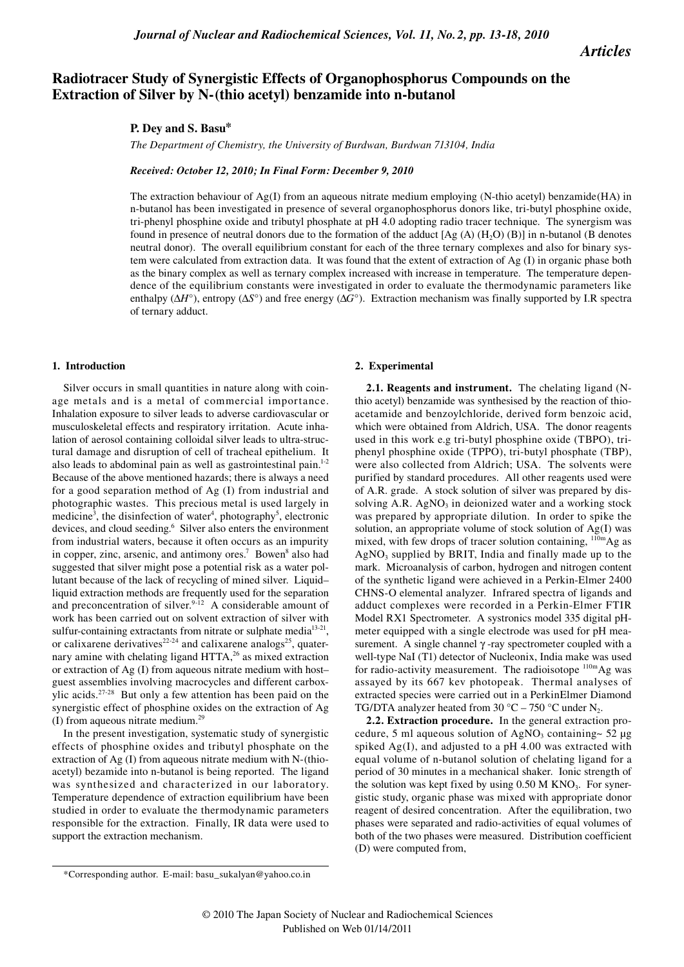*Articles*

# **Radiotracer Study of Synergistic Effects of Organophosphorus Compounds on the Extraction of Silver by N-(thio acetyl) benzamide into n-butanol**

## **P. Dey and S. Basu\***

*The Department of Chemistry, the University of Burdwan, Burdwan 713104, India*

## *Received: October 12, 2010; In Final Form: December 9, 2010*

The extraction behaviour of  $Ag(I)$  from an aqueous nitrate medium employing (N-thio acetyl) benzamide(HA) in n-butanol has been investigated in presence of several organophosphorus donors like, tri-butyl phosphine oxide, tri-phenyl phosphine oxide and tributyl phosphate at pH 4.0 adopting radio tracer technique. The synergism was found in presence of neutral donors due to the formation of the adduct  $[Ag(A) (H<sub>2</sub>O) (B)]$  in n-butanol (B denotes neutral donor). The overall equilibrium constant for each of the three ternary complexes and also for binary system were calculated from extraction data. It was found that the extent of extraction of Ag (I) in organic phase both as the binary complex as well as ternary complex increased with increase in temperature. The temperature dependence of the equilibrium constants were investigated in order to evaluate the thermodynamic parameters like enthalpy (∆*H*°), entropy (∆*S*°) and free energy (∆*G*°). Extraction mechanism was finally supported by I.R spectra of ternary adduct.

#### **1. Introduction**

Silver occurs in small quantities in nature along with coinage metals and is a metal of commercial importance. Inhalation exposure to silver leads to adverse cardiovascular or musculoskeletal effects and respiratory irritation. Acute inhalation of aerosol containing colloidal silver leads to ultra-structural damage and disruption of cell of tracheal epithelium. It also leads to abdominal pain as well as gastrointestinal pain. $12$ Because of the above mentioned hazards; there is always a need for a good separation method of Ag (I) from industrial and photographic wastes. This precious metal is used largely in medicine<sup>3</sup>, the disinfection of water<sup>4</sup>, photography<sup>5</sup>, electronic devices, and cloud seeding.<sup>6</sup> Silver also enters the environment from industrial waters, because it often occurs as an impurity in copper, zinc, arsenic, and antimony ores.<sup>7</sup> Bowen<sup>8</sup> also had suggested that silver might pose a potential risk as a water pollutant because of the lack of recycling of mined silver. Liquid– liquid extraction methods are frequently used for the separation and preconcentration of silver. $9-12$  A considerable amount of work has been carried out on solvent extraction of silver with sulfur-containing extractants from nitrate or sulphate media<sup>13-21</sup>, or calixarene derivatives<sup>22-24</sup> and calixarene analogs<sup>25</sup>, quaternary amine with chelating ligand HTTA,<sup>26</sup> as mixed extraction or extraction of Ag (I) from aqueous nitrate medium with host– guest assemblies involving macrocycles and different carboxylic acids.27-28 But only a few attention has been paid on the synergistic effect of phosphine oxides on the extraction of Ag (I) from aqueous nitrate medium.29

In the present investigation, systematic study of synergistic effects of phosphine oxides and tributyl phosphate on the extraction of Ag (I) from aqueous nitrate medium with N-(thioacetyl) bezamide into n-butanol is being reported. The ligand was synthesized and characterized in our laboratory. Temperature dependence of extraction equilibrium have been studied in order to evaluate the thermodynamic parameters responsible for the extraction. Finally, IR data were used to support the extraction mechanism.

#### **2. Experimental**

**2.1. Reagents and instrument.** The chelating ligand (Nthio acetyl) benzamide was synthesised by the reaction of thioacetamide and benzoylchloride, derived form benzoic acid, which were obtained from Aldrich, USA. The donor reagents used in this work e.g tri-butyl phosphine oxide (TBPO), triphenyl phosphine oxide (TPPO), tri-butyl phosphate (TBP), were also collected from Aldrich; USA. The solvents were purified by standard procedures. All other reagents used were of A.R. grade. A stock solution of silver was prepared by dissolving  $A.R. AgNO<sub>3</sub>$  in deionized water and a working stock was prepared by appropriate dilution. In order to spike the solution, an appropriate volume of stock solution of Ag(I) was mixed, with few drops of tracer solution containing,  $110m\text{Ag}$  as  $AgNO<sub>3</sub>$  supplied by BRIT, India and finally made up to the mark. Microanalysis of carbon, hydrogen and nitrogen content of the synthetic ligand were achieved in a Perkin-Elmer 2400 CHNS-O elemental analyzer. Infrared spectra of ligands and adduct complexes were recorded in a Perkin-Elmer FTIR Model RX1 Spectrometer. A systronics model 335 digital pHmeter equipped with a single electrode was used for pH measurement. A single channel  $\gamma$ -ray spectrometer coupled with a well-type NaI (T1) detector of Nucleonix, India make was used for radio-activity measurement. The radioisotope  $110m\text{Ag}$  was assayed by its 667 kev photopeak. Thermal analyses of extracted species were carried out in a PerkinElmer Diamond TG/DTA analyzer heated from 30  $^{\circ}$ C – 750  $^{\circ}$ C under N<sub>2</sub>.

**2.2. Extraction procedure.** In the general extraction procedure, 5 ml aqueous solution of AgNO<sub>3</sub> containing~ 52  $\mu$ g spiked Ag(I), and adjusted to a pH 4.00 was extracted with equal volume of n-butanol solution of chelating ligand for a period of 30 minutes in a mechanical shaker. Ionic strength of the solution was kept fixed by using  $0.50$  M KNO<sub>3</sub>. For synergistic study, organic phase was mixed with appropriate donor reagent of desired concentration. After the equilibration, two phases were separated and radio-activities of equal volumes of both of the two phases were measured. Distribution coefficient (D) were computed from,

<sup>\*</sup>Corresponding author. E-mail: basu\_sukalyan@yahoo.co.in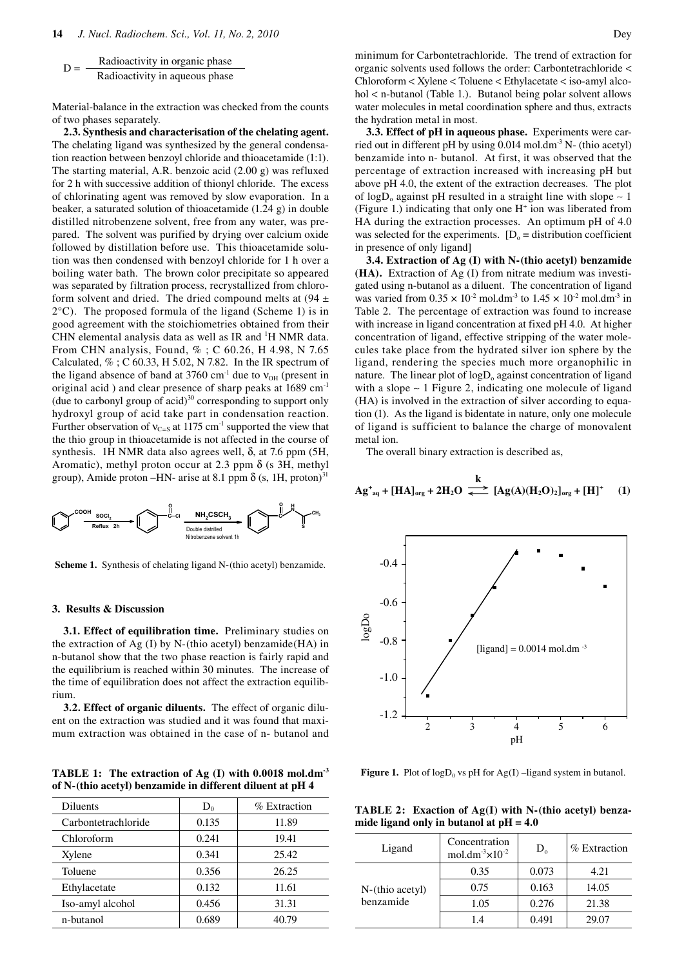$$
D = \frac{Radioactivity in organic phase}{Radioactivity in aqueous phase}
$$

Material-balance in the extraction was checked from the counts of two phases separately.

**2.3. Synthesis and characterisation of the chelating agent.**  The chelating ligand was synthesized by the general condensation reaction between benzoyl chloride and thioacetamide (1:1). The starting material, A.R. benzoic acid (2.00 g) was refluxed for 2 h with successive addition of thionyl chloride. The excess of chlorinating agent was removed by slow evaporation. In a beaker, a saturated solution of thioacetamide (1.24 g) in double distilled nitrobenzene solvent, free from any water, was prepared. The solvent was purified by drying over calcium oxide followed by distillation before use. This thioacetamide solution was then condensed with benzoyl chloride for 1 h over a boiling water bath. The brown color precipitate so appeared was separated by filtration process, recrystallized from chloroform solvent and dried. The dried compound melts at  $(94 \pm$  $2^{\circ}$ C). The proposed formula of the ligand (Scheme 1) is in good agreement with the stoichiometries obtained from their CHN elemental analysis data as well as IR and <sup>1</sup>H NMR data. From CHN analysis, Found, % ; C 60.26, H 4.98, N 7.65 Calculated,  $\%$ ; C 60.33, H 5.02, N 7.82. In the IR spectrum of the ligand absence of band at 3760 cm<sup>-1</sup> due to  $v_{OH}$  (present in original acid) and clear presence of sharp peaks at 1689 cm<sup>-1</sup> (due to carbonyl group of  $acid$ )<sup>30</sup> corresponding to support only hydroxyl group of acid take part in condensation reaction. Further observation of  $v_{C= S}$  at 1175 cm<sup>-1</sup> supported the view that the thio group in thioacetamide is not affected in the course of synthesis. 1H NMR data also agrees well, δ, at 7.6 ppm (5H, Aromatic), methyl proton occur at 2.3 ppm  $\delta$  (s 3H, methyl group), Amide proton –HN- arise at 8.1 ppm  $\delta$  (s, 1H, proton)<sup>31</sup>



**Scheme 1.** Synthesis of chelating ligand N-(thio acetyl) benzamide.

## **3. Results & Discussion**

**3.1. Effect of equilibration time.** Preliminary studies on the extraction of Ag  $(I)$  by N-(thio acetyl) benzamide(HA) in n-butanol show that the two phase reaction is fairly rapid and the equilibrium is reached within 30 minutes. The increase of the time of equilibration does not affect the extraction equilibrium.

**3.2. Effect of organic diluents.** The effect of organic diluent on the extraction was studied and it was found that maximum extraction was obtained in the case of n- butanol and

**TABLE 1: The extraction of Ag (I) with 0.0018 mol.dm-3 of N-(thio acetyl) benzamide in different diluent at pH 4**

| Diluents            | $D_0$ | $%$ Extraction |
|---------------------|-------|----------------|
| Carbontetrachloride | 0.135 | 11.89          |
| Chloroform          | 0.241 | 19.41          |
| Xylene              | 0.341 | 25.42          |
| Toluene             | 0.356 | 26.25          |
| Ethylacetate        | 0.132 | 11.61          |
| Iso-amyl alcohol    | 0.456 | 31.31          |
| n-butanol           | 0.689 | 40.79          |

minimum for Carbontetrachloride. The trend of extraction for organic solvents used follows the order: Carbontetrachloride < Chloroform < Xylene < Toluene < Ethylacetate < iso-amyl alcohol < n-butanol (Table 1.). Butanol being polar solvent allows water molecules in metal coordination sphere and thus, extracts the hydration metal in most.

**3.3. Effect of pH in aqueous phase.** Experiments were carried out in different pH by using 0.014 mol.dm<sup>-3</sup> N- (thio acetyl) benzamide into n- butanol. At first, it was observed that the percentage of extraction increased with increasing pH but above pH 4.0, the extent of the extraction decreases. The plot of logD<sub>o</sub> against pH resulted in a straight line with slope  $\sim$  1 (Figure 1.) indicating that only one  $H^+$  ion was liberated from HA during the extraction processes. An optimum pH of 4.0 was selected for the experiments.  $[D_0 =$  distribution coefficient in presence of only ligand]

**3.4. Extraction of Ag (I) with N-(thio acetyl) benzamide (HA).** Extraction of Ag (I) from nitrate medium was investigated using n-butanol as a diluent. The concentration of ligand was varied from  $0.35 \times 10^{-2}$  mol.dm<sup>-3</sup> to  $1.45 \times 10^{-2}$  mol.dm<sup>-3</sup> in Table 2. The percentage of extraction was found to increase with increase in ligand concentration at fixed pH 4.0. At higher concentration of ligand, effective stripping of the water molecules take place from the hydrated silver ion sphere by the ligand, rendering the species much more organophilic in nature. The linear plot of  $logD_0$  against concentration of ligand with a slope ∼ 1 Figure 2, indicating one molecule of ligand (HA) is involved in the extraction of silver according to equation (1). As the ligand is bidentate in nature, only one molecule of ligand is sufficient to balance the charge of monovalent metal ion.

The overall binary extraction is described as,

$$
Ag_{aq}^{+} + [HA]_{org} + 2H_2O \xrightarrow{k} [Ag(A)(H_2O)_2]_{org} + [H]+ (1)
$$



**Figure 1.** Plot of  $log D_0$  vs pH for  $Ag(I)$  –ligand system in butanol.

**TABLE 2: Exaction of Ag(I) with N-(thio acetyl) benzamide ligand only in butanol at pH = 4.0**

| Ligand                                | Concentration<br>mol.dm <sup>-3</sup> $\times$ 10 <sup>-2</sup> | $D_{\alpha}$ | % Extraction |
|---------------------------------------|-----------------------------------------------------------------|--------------|--------------|
| $N-(\text{thio acetyl})$<br>benzamide | 0.35                                                            | 0.073        | 4.21         |
|                                       | 0.75                                                            | 0.163        | 14.05        |
|                                       | 1.05                                                            | 0.276        | 21.38        |
|                                       | 14                                                              | 0.491        | 29.07        |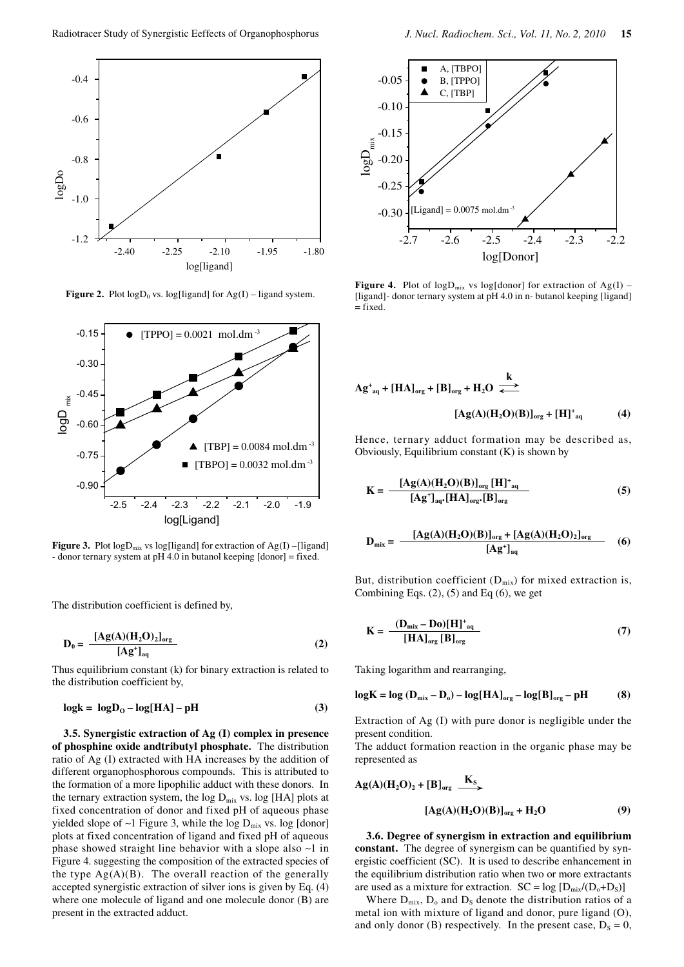

**Figure 2.** Plot  $logD_0$  vs.  $log[ligand]$  for  $Ag(I)$  – ligand system.



**Figure 3.** Plot  $logD<sub>mix</sub>$  vs  $log[ligand]$  for extraction of  $Ag(I)$  –[ligand] - donor ternary system at pH 4.0 in butanol keeping [donor] = fixed.

The distribution coefficient is defined by,

$$
D_0 = \frac{[Ag(A)(H_2O)_2]_{org}}{[Ag^+]_{aq}}
$$
 (2)

Thus equilibrium constant (k) for binary extraction is related to the distribution coefficient by,

$$
log k = log D0 - log[HA] - pH
$$
 (3)

**3.5. Synergistic extraction of Ag (I) complex in presence of phosphine oxide andtributyl phosphate.** The distribution ratio of Ag (I) extracted with HA increases by the addition of different organophosphorous compounds. This is attributed to the formation of a more lipophilic adduct with these donors. In the ternary extraction system, the  $log D<sub>mix</sub>$  vs.  $log [HA]$  plots at fixed concentration of donor and fixed pH of aqueous phase yielded slope of ∼1 Figure 3, while the log  $D_{mix}$  vs. log [donor] plots at fixed concentration of ligand and fixed pH of aqueous phase showed straight line behavior with a slope also ∼1 in Figure 4. suggesting the composition of the extracted species of the type  $Ag(A)(B)$ . The overall reaction of the generally accepted synergistic extraction of silver ions is given by Eq. (4) where one molecule of ligand and one molecule donor (B) are present in the extracted adduct.



**Figure 4.** Plot of  $logD<sub>mix</sub>$  vs  $log[donor]$  for extraction of Ag(I) – [ligand]- donor ternary system at pH 4.0 in n- butanol keeping [ligand]  $=$  fixed.

$$
Ag^{+}_{aq} + [HA]_{org} + [B]_{org} + H_2O \stackrel{k}{\longleftrightarrow}
$$
  
\n
$$
[Ag(A)(H_2O)(B)]_{org} + [H]^{+}_{aq}
$$
 (4)

Hence, ternary adduct formation may be described as, Obviously, Equilibrium constant (K) is shown by

$$
\mathbf{K} = \frac{\left[\mathbf{A}\mathbf{g}(\mathbf{A})(\mathbf{H}_2\mathbf{O})(\mathbf{B})\right]_{\text{org}}\left[\mathbf{H}\right]_{\text{aq}}^{+}}{\left[\mathbf{A}\mathbf{g}^{+}\right]_{\text{aq}}\left[\mathbf{H}\mathbf{A}\right]_{\text{org}}\left[\mathbf{B}\right]_{\text{org}}}\tag{5}
$$

$$
D_{mix} = \frac{[Ag(A)(H_2O)(B)]_{org} + [Ag(A)(H_2O)_2]_{org}}{[Ag^+]_{aq}} \tag{6}
$$

But, distribution coefficient  $(D_{mix})$  for mixed extraction is, Combining Eqs.  $(2)$ ,  $(5)$  and Eq  $(6)$ , we get

$$
K = \frac{(D_{\text{mix}} - D_0)[H]^+_{aq}}{[HA]_{org} [B]_{org}}
$$
(7)

Taking logarithm and rearranging,

$$
log K = log (D_{mix} - D_o) - log [HA]_{org} - log[B]_{org} - pH
$$
 (8)

Extraction of Ag (I) with pure donor is negligible under the present condition.

The adduct formation reaction in the organic phase may be represented as

$$
Ag(A)(H2O)2 + [B]org \xrightarrow{KS}
$$
  
\n
$$
[Ag(A)(H2O)(B)]org + H2O \qquad (9)
$$

**3.6. Degree of synergism in extraction and equilibrium constant.** The degree of synergism can be quantified by synergistic coefficient (SC). It is used to describe enhancement in the equilibrium distribution ratio when two or more extractants are used as a mixture for extraction.  $SC = log [D_{mix}/(D_0+D_S)]$ 

Where  $D_{mix}$ ,  $D_0$  and  $D_S$  denote the distribution ratios of a metal ion with mixture of ligand and donor, pure ligand (O), and only donor (B) respectively. In the present case,  $D_s = 0$ ,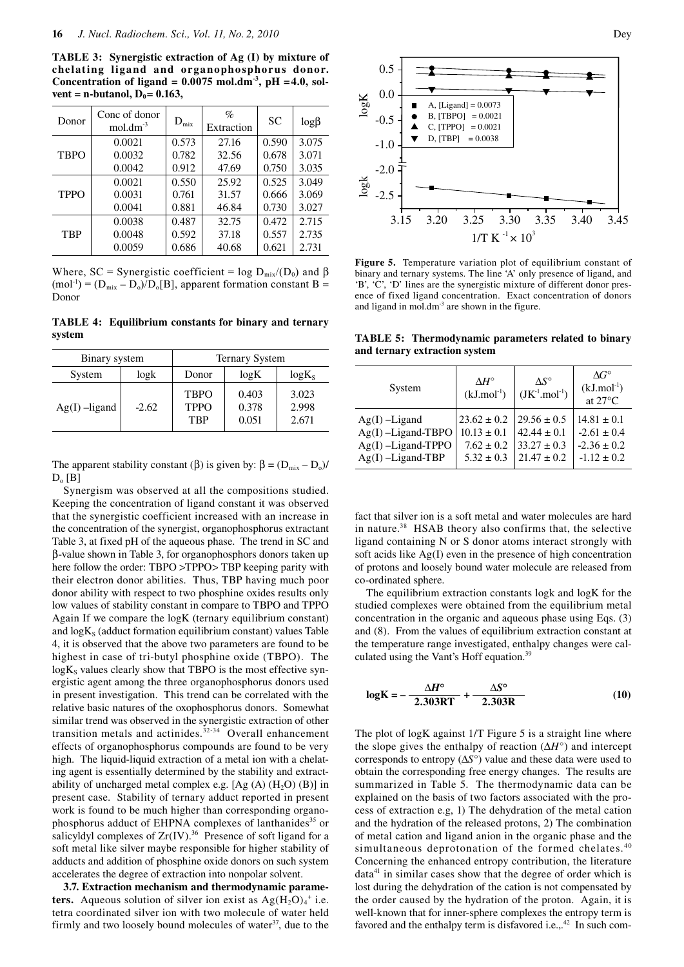**TABLE 3: Synergistic extraction of Ag (I) by mixture of chelating ligand and organophosphorus donor.**  Concentration of ligand =  $0.0075$  mol.dm<sup>-3</sup>, pH =  $4.0$ , sol $vent = n$ -butanol,  $D_0 = 0.163$ ,

| Donor       | Conc of donor<br>$mol.dim^{-3}$ | $D_{\text{mix}}$ | $\%$<br>Extraction | <b>SC</b> | $log\beta$ |
|-------------|---------------------------------|------------------|--------------------|-----------|------------|
| <b>TBPO</b> | 0.0021                          | 0.573            | 27.16              | 0.590     | 3.075      |
|             | 0.0032                          | 0.782            | 32.56              | 0.678     | 3.071      |
|             | 0.0042                          | 0.912            | 47.69              | 0.750     | 3.035      |
| <b>TPPO</b> | 0.0021                          | 0.550            | 25.92              | 0.525     | 3.049      |
|             | 0.0031                          | 0.761            | 31.57              | 0.666     | 3.069      |
|             | 0.0041                          | 0.881            | 46.84              | 0.730     | 3.027      |
| <b>TBP</b>  | 0.0038                          | 0.487            | 32.75              | 0.472     | 2.715      |
|             | 0.0048                          | 0.592            | 37.18              | 0.557     | 2.735      |
|             | 0.0059                          | 0.686            | 40.68              | 0.621     | 2.731      |

Where, SC = Synergistic coefficient = log  $D_{mix}/(D_0)$  and  $\beta$  $(mol^{-1}) = (D_{mix} - D_o)/D_o[B]$ , apparent formation constant B = Donor

**TABLE 4: Equilibrium constants for binary and ternary system**

| Binary system   |         | <b>Ternary System</b>                    |                         |                         |
|-----------------|---------|------------------------------------------|-------------------------|-------------------------|
| System          | log k   | Donor                                    | logK                    | $log K_s$               |
| $Ag(I)$ –ligand | $-2.62$ | <b>TBPO</b><br><b>TPPO</b><br><b>TRP</b> | 0.403<br>0.378<br>0.051 | 3.023<br>2.998<br>2.671 |

The apparent stability constant (β) is given by:  $\beta = (D_{mix} - D_o)$ /  $D_0$  [B]

Synergism was observed at all the compositions studied. Keeping the concentration of ligand constant it was observed that the synergistic coefficient increased with an increase in the concentration of the synergist, organophosphorus extractant Table 3, at fixed pH of the aqueous phase. The trend in SC and β-value shown in Table 3, for organophosphors donors taken up here follow the order: TBPO >TPPO> TBP keeping parity with their electron donor abilities. Thus, TBP having much poor donor ability with respect to two phosphine oxides results only low values of stability constant in compare to TBPO and TPPO Again If we compare the logK (ternary equilibrium constant) and  $\log K<sub>s</sub>$  (adduct formation equilibrium constant) values Table 4, it is observed that the above two parameters are found to be highest in case of tri-butyl phosphine oxide (TBPO). The  $log K<sub>s</sub>$  values clearly show that TBPO is the most effective synergistic agent among the three organophosphorus donors used in present investigation. This trend can be correlated with the relative basic natures of the oxophosphorus donors. Somewhat similar trend was observed in the synergistic extraction of other transition metals and actinides. $32-34$  Overall enhancement effects of organophosphorus compounds are found to be very high. The liquid-liquid extraction of a metal ion with a chelating agent is essentially determined by the stability and extractability of uncharged metal complex e.g.  $[Ag (A) (H<sub>2</sub>O) (B)]$  in present case. Stability of ternary adduct reported in present work is found to be much higher than corresponding organophosphorus adduct of EHPNA complexes of lanthanides<sup>35</sup> or salicyldyl complexes of  $Zr(IV)$ .<sup>36</sup> Presence of soft ligand for a soft metal like silver maybe responsible for higher stability of adducts and addition of phosphine oxide donors on such system accelerates the degree of extraction into nonpolar solvent.

**3.7. Extraction mechanism and thermodynamic parameters.** Aqueous solution of silver ion exist as  $Ag(H_2O)_4$ <sup>+</sup> i.e. tetra coordinated silver ion with two molecule of water held firmly and two loosely bound molecules of water $37$ , due to the





**Figure 5.** Temperature variation plot of equilibrium constant of binary and ternary systems. The line 'A' only presence of ligand, and 'B', 'C', 'D' lines are the synergistic mixture of different donor presence of fixed ligand concentration. Exact concentration of donors and ligand in mol.dm<sup>-3</sup> are shown in the figure.

**TABLE 5: Thermodynamic parameters related to binary and ternary extraction system**

| System               | $\Lambda H^{\circ}$<br>$(kJ$ .mol <sup>-1</sup> ) | $\Lambda S^{\circ}$<br>$(JK^1.mol^{-1})$ | $\Delta G^{\circ}$<br>$(kJ$ .mol <sup>-1</sup> )<br>at $27^{\circ}$ C |
|----------------------|---------------------------------------------------|------------------------------------------|-----------------------------------------------------------------------|
| $Ag(I)$ –Ligand      | $23.62 \pm 0.2$                                   | $29.56 \pm 0.5$                          | $14.81 \pm 0.1$                                                       |
| $Ag(I)$ -Ligand-TBPO | $10.13 \pm 0.1$                                   | $42.44 \pm 0.1$                          | $-2.61 \pm 0.4$                                                       |
| Ag(I)-Ligand-TPPO    | $7.62 \pm 0.2$                                    | $33.27 \pm 0.3$                          | $-2.36 \pm 0.2$                                                       |
| $Ag(I)$ -Ligand-TBP  | $5.32 \pm 0.3$                                    | $21.47 \pm 0.2$                          | $-1.12 \pm 0.2$                                                       |

fact that silver ion is a soft metal and water molecules are hard in nature.38 HSAB theory also confirms that, the selective ligand containing N or S donor atoms interact strongly with soft acids like Ag(I) even in the presence of high concentration of protons and loosely bound water molecule are released from co-ordinated sphere.

The equilibrium extraction constants logk and logK for the studied complexes were obtained from the equilibrium metal concentration in the organic and aqueous phase using Eqs. (3) and (8). From the values of equilibrium extraction constant at the temperature range investigated, enthalpy changes were calculated using the Vant's Hoff equation.<sup>39</sup>

$$
\log K = -\frac{\Delta H^{\circ}}{2.303RT} + \frac{\Delta S^{\circ}}{2.303R}
$$
 (10)

The plot of logK against 1/T Figure 5 is a straight line where the slope gives the enthalpy of reaction (∆*H*°) and intercept corresponds to entropy (∆*S*°) value and these data were used to obtain the corresponding free energy changes. The results are summarized in Table 5. The thermodynamic data can be explained on the basis of two factors associated with the process of extraction e.g, 1) The dehydration of the metal cation and the hydration of the released protons, 2) The combination of metal cation and ligand anion in the organic phase and the simultaneous deprotonation of the formed chelates.<sup>40</sup> Concerning the enhanced entropy contribution, the literature  $data<sup>41</sup>$  in similar cases show that the degree of order which is lost during the dehydration of the cation is not compensated by the order caused by the hydration of the proton. Again, it is well-known that for inner-sphere complexes the entropy term is favored and the enthalpy term is disfavored i.e., $^{42}$  In such com-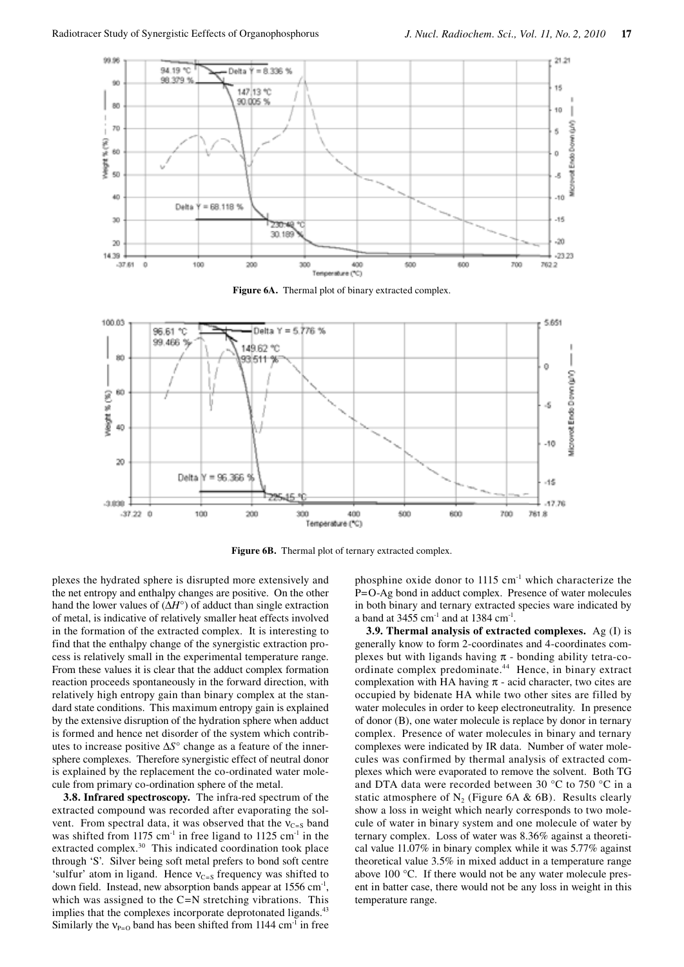

**Figure 6A.** Thermal plot of binary extracted complex.



Figure 6B. Thermal plot of ternary extracted complex.

plexes the hydrated sphere is disrupted more extensively and the net entropy and enthalpy changes are positive. On the other hand the lower values of (∆*H*°) of adduct than single extraction of metal, is indicative of relatively smaller heat effects involved in the formation of the extracted complex. It is interesting to find that the enthalpy change of the synergistic extraction process is relatively small in the experimental temperature range. From these values it is clear that the adduct complex formation reaction proceeds spontaneously in the forward direction, with relatively high entropy gain than binary complex at the standard state conditions. This maximum entropy gain is explained by the extensive disruption of the hydration sphere when adduct is formed and hence net disorder of the system which contributes to increase positive ∆*S*° change as a feature of the innersphere complexes. Therefore synergistic effect of neutral donor is explained by the replacement the co-ordinated water molecule from primary co-ordination sphere of the metal.

**3.8. Infrared spectroscopy.** The infra-red spectrum of the extracted compound was recorded after evaporating the solvent. From spectral data, it was observed that the  $v_{C=5}$  band was shifted from 1175 cm<sup>-1</sup> in free ligand to 1125 cm<sup>-1</sup> in the extracted complex.<sup>30</sup> This indicated coordination took place through 'S'. Silver being soft metal prefers to bond soft centre 'sulfur' atom in ligand. Hence  $v_{C=S}$  frequency was shifted to down field. Instead, new absorption bands appear at 1556 cm<sup>-1</sup>, which was assigned to the C=N stretching vibrations. This implies that the complexes incorporate deprotonated ligands.<sup>43</sup> Similarly the  $v_{P=0}$  band has been shifted from 1144 cm<sup>-1</sup> in free

phosphine oxide donor to 1115 cm-1 which characterize the P=O-Ag bond in adduct complex. Presence of water molecules in both binary and ternary extracted species ware indicated by a band at  $3455$  cm<sup>-1</sup> and at  $1384$  cm<sup>-1</sup>.

**3.9. Thermal analysis of extracted complexes.** Ag (I) is generally know to form 2-coordinates and 4-coordinates complexes but with ligands having  $\pi$  - bonding ability tetra-coordinate complex predominate.<sup>44</sup> Hence, in binary extract complexation with HA having  $\pi$  - acid character, two cites are occupied by bidenate HA while two other sites are filled by water molecules in order to keep electroneutrality. In presence of donor (B), one water molecule is replace by donor in ternary complex. Presence of water molecules in binary and ternary complexes were indicated by IR data. Number of water molecules was confirmed by thermal analysis of extracted complexes which were evaporated to remove the solvent. Both TG and DTA data were recorded between 30 °C to 750 °C in a static atmosphere of  $N_2$  (Figure 6A & 6B). Results clearly show a loss in weight which nearly corresponds to two molecule of water in binary system and one molecule of water by ternary complex. Loss of water was 8.36% against a theoretical value 11.07% in binary complex while it was 5.77% against theoretical value 3.5% in mixed adduct in a temperature range above 100 °C. If there would not be any water molecule present in batter case, there would not be any loss in weight in this temperature range.